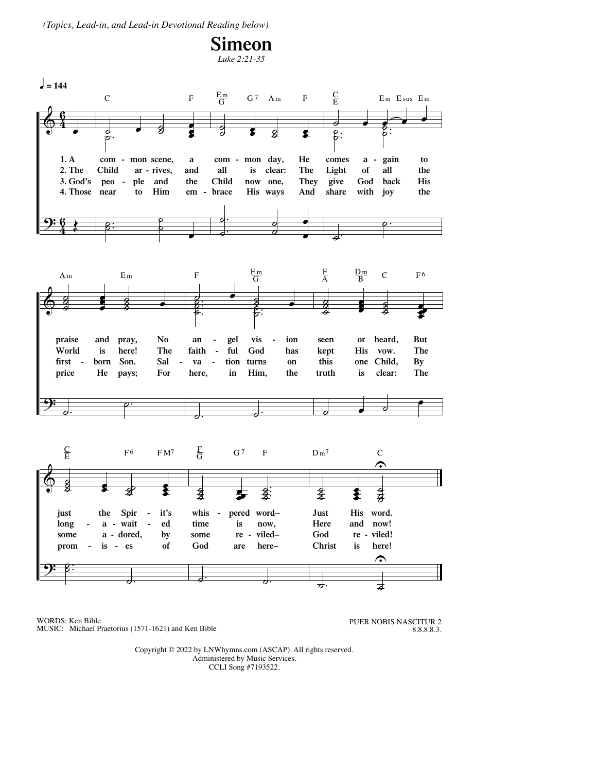(Topics, Lead-in, and Lead-in Devotional Reading below)



WORDS: Ken Bible MUSIC: Michael Praetorius (1571-1621) and Ken Bible PUER NOBIS NASCITUR 2 8.8.8.8.3.

Copyright © 2022 by LNWhymns.com (ASCAP). All rights reserved. Administered by Music Services. CCLI Song #7193522.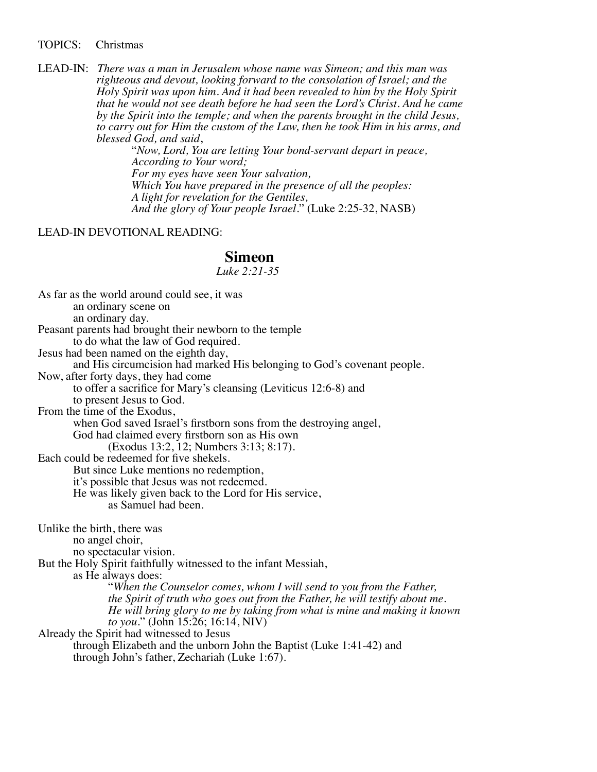TOPICS: Christmas

LEAD-IN: There was a man in Jerusalem whose name was Simeon; and this man was<br>righteous and devout, looking forward to the consolation of Israel; and the<br>Holy Spirit was upon him. And it had been revealed to him by the Ho

## LEAD-IN DEVOTIONAL READING:

## **Simeon** *Luke 2:21-35*

As far as the world around could see, it was an ordinary scene on an ordinary day. Peasant parents had brought their newborn to the temple to do what the law of God required. Jesus had been named on the eighth day, and His circumcision had marked His belonging to God's covenant people. Now, after forty days, they had come to offer a sacrifice for Mary's cleansing (Leviticus 12:6-8) and to present Jesus to God. From the time of the Exodus. when God saved Israel's firstborn sons from the destroying angel, God had claimed every firstborn son as His own (Exodus 13:2, 12; Numbers 3:13; 8:17). Each could be redeemed for five shekels. But since Luke mentions no redemption, it's possible that Jesus was not redeemed. He was likely given back to the Lord for His service, as Samuel had been. Unlike the birth, there was no angel choir, no spectacular vision. But the Holy Spirit faithfully witnessed to the infant Messiah, as He always does: "*When the Counselor comes, whom I will send to you from the Father, the Spirit of truth who goes out from the Father, he will testify about me. He will bring glory to me by taking from what is mine and making it known to you.*" (John 15:26; 16:14, NIV) Already the Spirit had witnessed to Jesus through Elizabeth and the unborn John the Baptist (Luke 1:41-42) and through John's father, Zechariah (Luke 1:67).